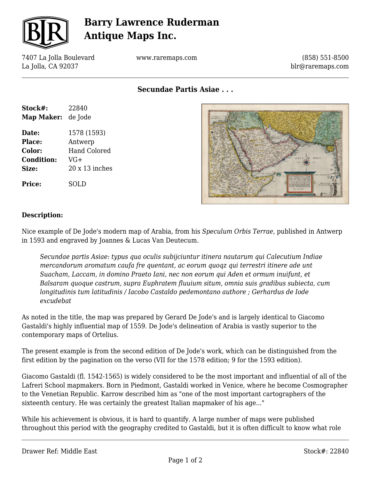

## **Barry Lawrence Ruderman Antique Maps Inc.**

7407 La Jolla Boulevard La Jolla, CA 92037

www.raremaps.com

(858) 551-8500 blr@raremaps.com

**Secundae Partis Asiae . . .**

| Stock#:           | 22840                 |
|-------------------|-----------------------|
| <b>Map Maker:</b> | de Jode               |
| Date:             | 1578 (1593)           |
| Place:            | Antwerp               |
| Color:            | <b>Hand Colored</b>   |
| <b>Condition:</b> | VG+                   |
| Size:             | $20 \times 13$ inches |
| <b>Price:</b>     | SOLD                  |



#### **Description:**

Nice example of De Jode's modern map of Arabia, from his *Speculum Orbis Terrae*, published in Antwerp in 1593 and engraved by Joannes & Lucas Van Deutecum.

*Secundae partis Asiae: typus qua oculis subijciuntur itinera nautarum qui Calecutium Indiae mercandorum aromatum caufa fre quentant, ac eorum quoqz qui terrestri itinere ade unt Suacham, Laccam, in domino Praeto Iani, nec non eorum qui Aden et ormum inuifunt, et Balsaram quoque castrum, supra Euphratem fluuium situm, omnia suis gradibus subiecta, cum longitudinis tum latitudinis / Iacobo Castaldo pedemontano authore ; Gerhardus de Iode excudebat*

As noted in the title, the map was prepared by Gerard De Jode's and is largely identical to Giacomo Gastaldi's highly influential map of 1559. De Jode's delineation of Arabia is vastly superior to the contemporary maps of Ortelius.

The present example is from the second edition of De Jode's work, which can be distinguished from the first edition by the pagination on the verso (VII for the 1578 edition; 9 for the 1593 edition).

Giacomo Gastaldi (fl. 1542-1565) is widely considered to be the most important and influential of all of the Lafreri School mapmakers. Born in Piedmont, Gastaldi worked in Venice, where he become Cosmographer to the Venetian Republic. Karrow described him as "one of the most important cartographers of the sixteenth century. He was certainly the greatest Italian mapmaker of his age..."

While his achievement is obvious, it is hard to quantify. A large number of maps were published throughout this period with the geography credited to Gastaldi, but it is often difficult to know what role